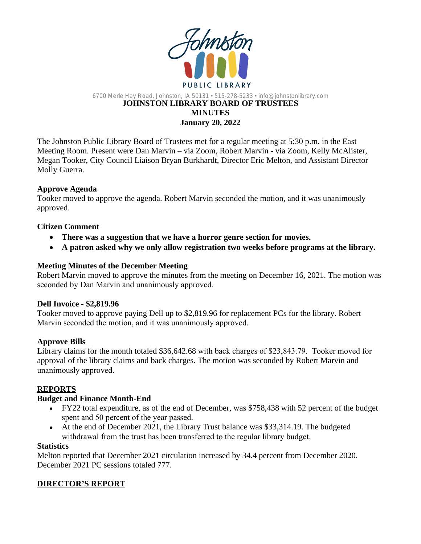

### 6700 Merle Hay Road, Johnston, IA 50131 • 515-278-5233 • info@johnstonlibrary.com **JOHNSTON LIBRARY BOARD OF TRUSTEES MINUTES January 20, 2022**

The Johnston Public Library Board of Trustees met for a regular meeting at 5:30 p.m. in the East Meeting Room. Present were Dan Marvin – via Zoom, Robert Marvin - via Zoom, Kelly McAlister, Megan Tooker, City Council Liaison Bryan Burkhardt, Director Eric Melton, and Assistant Director Molly Guerra.

## **Approve Agenda**

Tooker moved to approve the agenda. Robert Marvin seconded the motion, and it was unanimously approved.

## **Citizen Comment**

- **There was a suggestion that we have a horror genre section for movies.**
- **A patron asked why we only allow registration two weeks before programs at the library.**

## **Meeting Minutes of the December Meeting**

Robert Marvin moved to approve the minutes from the meeting on December 16, 2021. The motion was seconded by Dan Marvin and unanimously approved.

#### **Dell Invoice - \$2,819.96**

Tooker moved to approve paying Dell up to \$2,819.96 for replacement PCs for the library. Robert Marvin seconded the motion, and it was unanimously approved.

## **Approve Bills**

Library claims for the month totaled \$36,642.68 with back charges of \$23,843.79. Tooker moved for approval of the library claims and back charges. The motion was seconded by Robert Marvin and unanimously approved.

## **REPORTS**

#### **Budget and Finance Month-End**

- FY22 total expenditure, as of the end of December, was \$758,438 with 52 percent of the budget spent and 50 percent of the year passed.
- At the end of December 2021, the Library Trust balance was \$33,314.19. The budgeted withdrawal from the trust has been transferred to the regular library budget.

#### **Statistics**

Melton reported that December 2021 circulation increased by 34.4 percent from December 2020. December 2021 PC sessions totaled 777.

## **DIRECTOR'S REPORT**